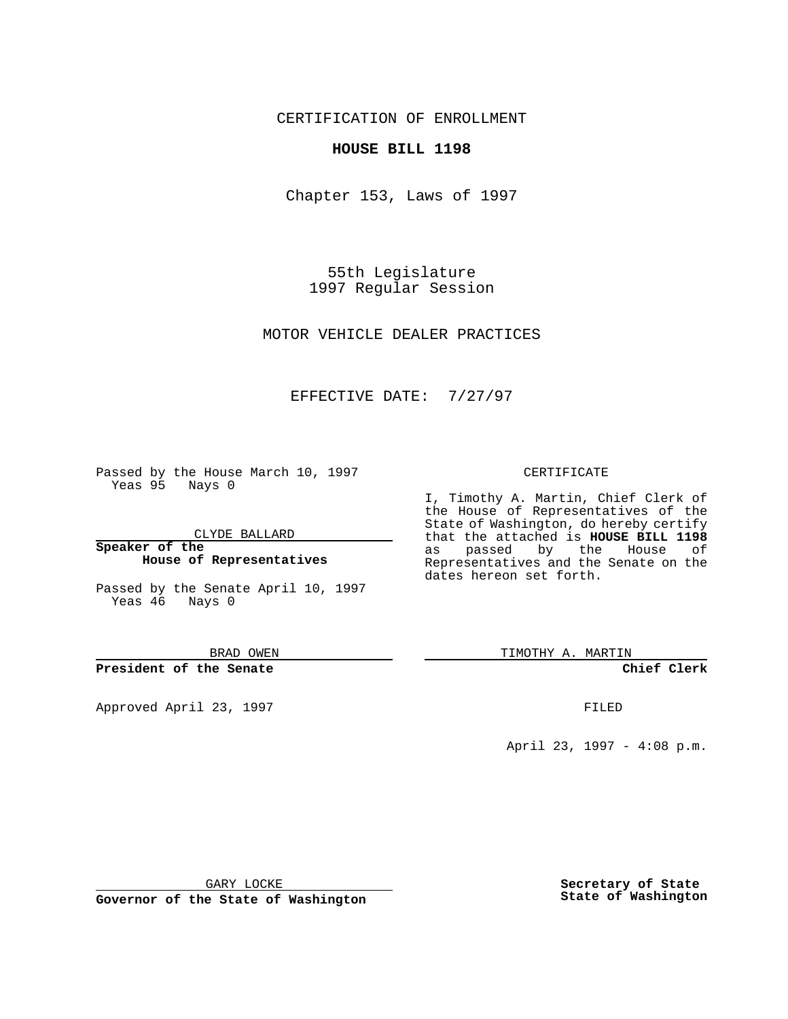CERTIFICATION OF ENROLLMENT

## **HOUSE BILL 1198**

Chapter 153, Laws of 1997

55th Legislature 1997 Regular Session

MOTOR VEHICLE DEALER PRACTICES

## EFFECTIVE DATE: 7/27/97

Passed by the House March 10, 1997 Yeas 95 Nays 0

CLYDE BALLARD

**Speaker of the House of Representatives**

Passed by the Senate April 10, 1997 Yeas 46 Nays 0

BRAD OWEN

**President of the Senate**

Approved April 23, 1997 **FILED** 

## CERTIFICATE

I, Timothy A. Martin, Chief Clerk of the House of Representatives of the State of Washington, do hereby certify that the attached is **HOUSE BILL 1198** as passed by the House of Representatives and the Senate on the dates hereon set forth.

TIMOTHY A. MARTIN

**Chief Clerk**

April 23, 1997 - 4:08 p.m.

GARY LOCKE

**Governor of the State of Washington**

**Secretary of State State of Washington**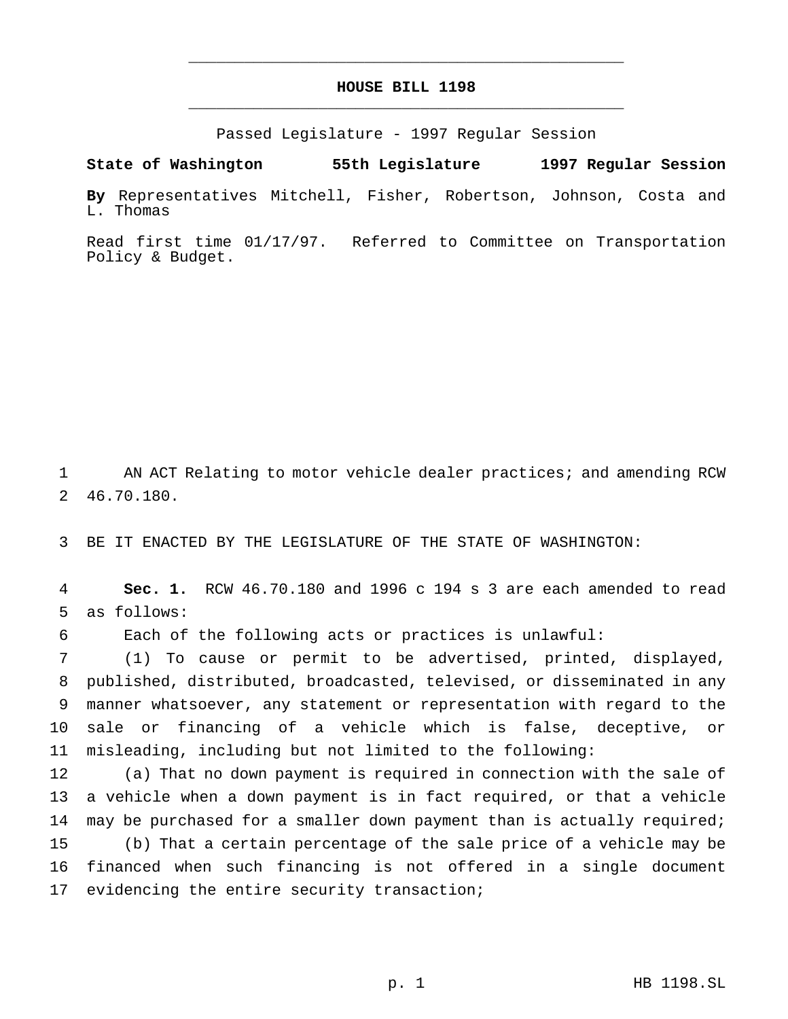## **HOUSE BILL 1198** \_\_\_\_\_\_\_\_\_\_\_\_\_\_\_\_\_\_\_\_\_\_\_\_\_\_\_\_\_\_\_\_\_\_\_\_\_\_\_\_\_\_\_\_\_\_\_

\_\_\_\_\_\_\_\_\_\_\_\_\_\_\_\_\_\_\_\_\_\_\_\_\_\_\_\_\_\_\_\_\_\_\_\_\_\_\_\_\_\_\_\_\_\_\_

Passed Legislature - 1997 Regular Session

**State of Washington 55th Legislature 1997 Regular Session**

**By** Representatives Mitchell, Fisher, Robertson, Johnson, Costa and L. Thomas

Read first time 01/17/97. Referred to Committee on Transportation Policy & Budget.

1 AN ACT Relating to motor vehicle dealer practices; and amending RCW 2 46.70.180.

3 BE IT ENACTED BY THE LEGISLATURE OF THE STATE OF WASHINGTON:

4 **Sec. 1.** RCW 46.70.180 and 1996 c 194 s 3 are each amended to read 5 as follows:

6 Each of the following acts or practices is unlawful:

 (1) To cause or permit to be advertised, printed, displayed, published, distributed, broadcasted, televised, or disseminated in any manner whatsoever, any statement or representation with regard to the sale or financing of a vehicle which is false, deceptive, or misleading, including but not limited to the following:

 (a) That no down payment is required in connection with the sale of a vehicle when a down payment is in fact required, or that a vehicle 14 may be purchased for a smaller down payment than is actually required; (b) That a certain percentage of the sale price of a vehicle may be financed when such financing is not offered in a single document 17 evidencing the entire security transaction;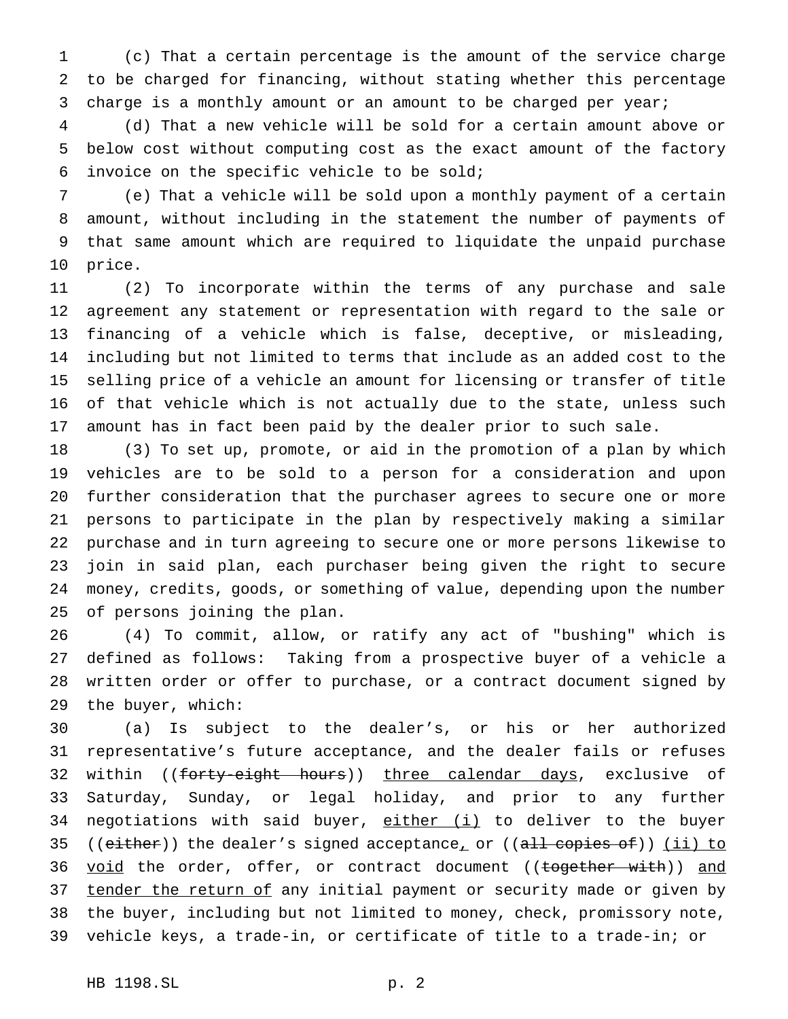(c) That a certain percentage is the amount of the service charge to be charged for financing, without stating whether this percentage charge is a monthly amount or an amount to be charged per year;

 (d) That a new vehicle will be sold for a certain amount above or below cost without computing cost as the exact amount of the factory invoice on the specific vehicle to be sold;

 (e) That a vehicle will be sold upon a monthly payment of a certain amount, without including in the statement the number of payments of that same amount which are required to liquidate the unpaid purchase price.

 (2) To incorporate within the terms of any purchase and sale agreement any statement or representation with regard to the sale or financing of a vehicle which is false, deceptive, or misleading, including but not limited to terms that include as an added cost to the selling price of a vehicle an amount for licensing or transfer of title of that vehicle which is not actually due to the state, unless such amount has in fact been paid by the dealer prior to such sale.

 (3) To set up, promote, or aid in the promotion of a plan by which vehicles are to be sold to a person for a consideration and upon further consideration that the purchaser agrees to secure one or more persons to participate in the plan by respectively making a similar purchase and in turn agreeing to secure one or more persons likewise to join in said plan, each purchaser being given the right to secure money, credits, goods, or something of value, depending upon the number of persons joining the plan.

 (4) To commit, allow, or ratify any act of "bushing" which is defined as follows: Taking from a prospective buyer of a vehicle a written order or offer to purchase, or a contract document signed by the buyer, which:

 (a) Is subject to the dealer's, or his or her authorized representative's future acceptance, and the dealer fails or refuses 32 within ((forty-eight hours)) three calendar days, exclusive of Saturday, Sunday, or legal holiday, and prior to any further 34 negotiations with said buyer, either (i) to deliver to the buyer 35 (( $either$ )) the dealer's signed acceptance<sub>r</sub> or (( $all$  copies of)) (ii) to 36 void the order, offer, or contract document ((together with)) and 37 tender the return of any initial payment or security made or given by the buyer, including but not limited to money, check, promissory note, vehicle keys, a trade-in, or certificate of title to a trade-in; or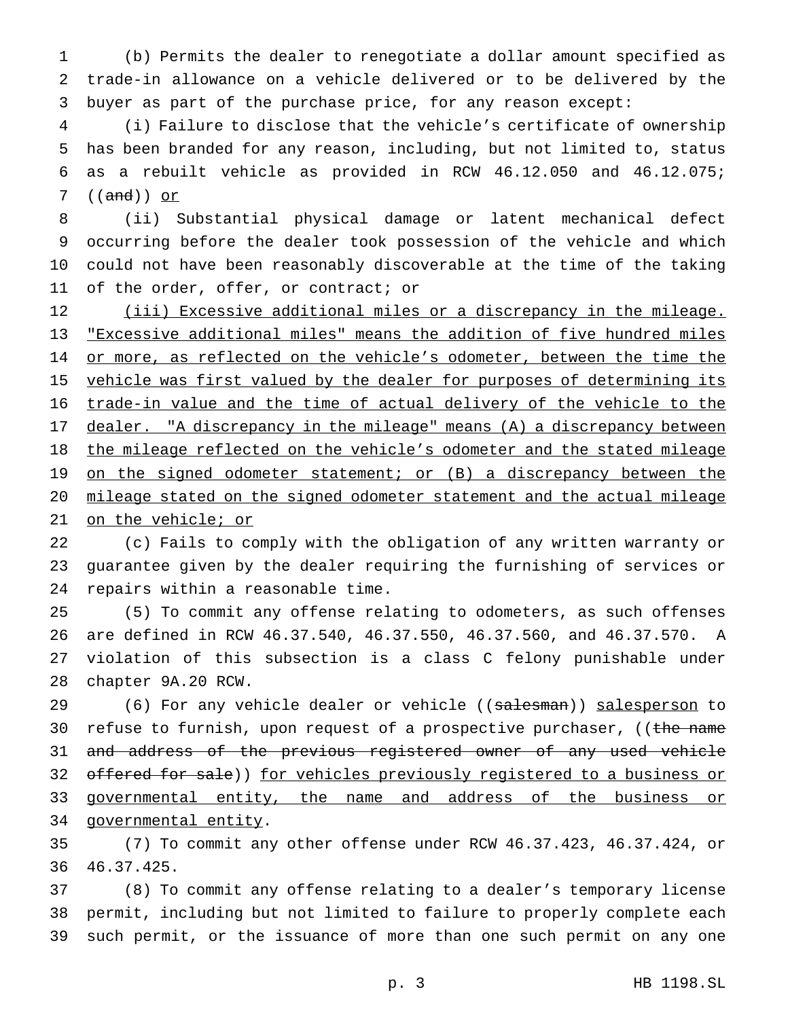(b) Permits the dealer to renegotiate a dollar amount specified as trade-in allowance on a vehicle delivered or to be delivered by the buyer as part of the purchase price, for any reason except:

 (i) Failure to disclose that the vehicle's certificate of ownership has been branded for any reason, including, but not limited to, status as a rebuilt vehicle as provided in RCW 46.12.050 and 46.12.075; ((and)) or

 (ii) Substantial physical damage or latent mechanical defect occurring before the dealer took possession of the vehicle and which could not have been reasonably discoverable at the time of the taking of the order, offer, or contract; or

12 (iii) Excessive additional miles or a discrepancy in the mileage. "Excessive additional miles" means the addition of five hundred miles 14 or more, as reflected on the vehicle's odometer, between the time the 15 vehicle was first valued by the dealer for purposes of determining its trade-in value and the time of actual delivery of the vehicle to the 17 dealer. "A discrepancy in the mileage" means (A) a discrepancy between 18 the mileage reflected on the vehicle's odometer and the stated mileage 19 on the signed odometer statement; or (B) a discrepancy between the mileage stated on the signed odometer statement and the actual mileage on the vehicle; or

 (c) Fails to comply with the obligation of any written warranty or guarantee given by the dealer requiring the furnishing of services or repairs within a reasonable time.

 (5) To commit any offense relating to odometers, as such offenses are defined in RCW 46.37.540, 46.37.550, 46.37.560, and 46.37.570. A violation of this subsection is a class C felony punishable under chapter 9A.20 RCW.

29 (6) For any vehicle dealer or vehicle ((salesman)) salesperson to 30 refuse to furnish, upon request of a prospective purchaser, ((the name 31 and address of the previous registered owner of any used vehicle 32 offered for sale)) for vehicles previously registered to a business or 33 governmental entity, the name and address of the business or 34 governmental entity.

 (7) To commit any other offense under RCW 46.37.423, 46.37.424, or 46.37.425.

 (8) To commit any offense relating to a dealer's temporary license permit, including but not limited to failure to properly complete each such permit, or the issuance of more than one such permit on any one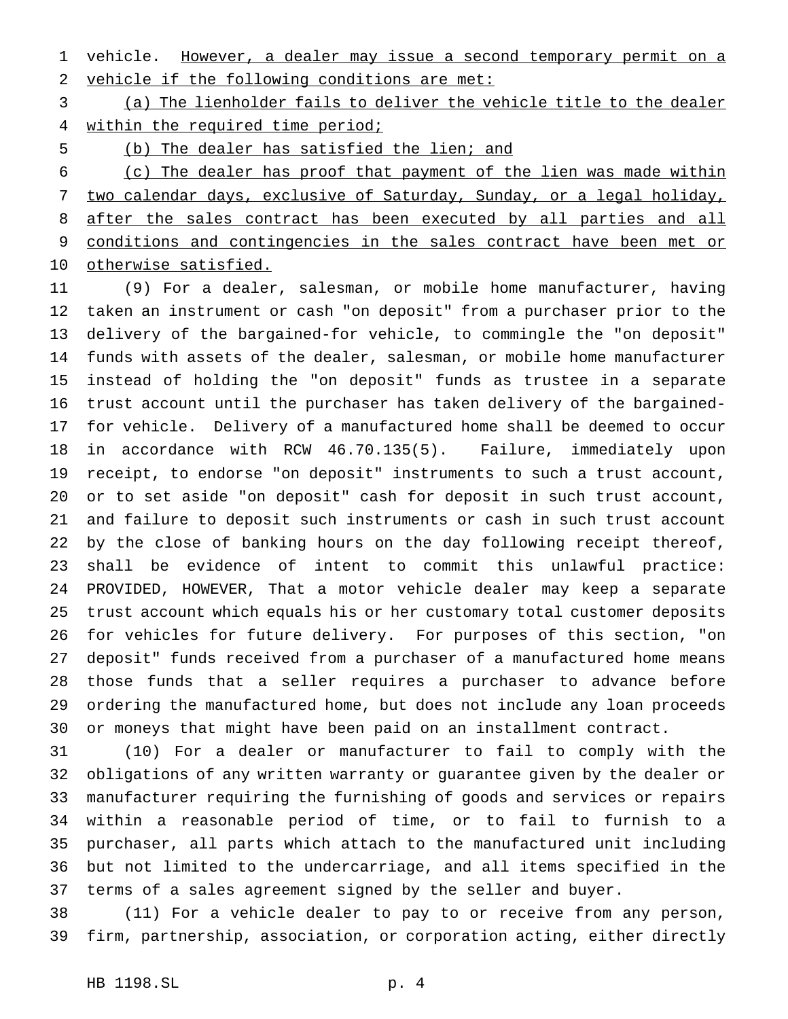1 vehicle. However, a dealer may issue a second temporary permit on a vehicle if the following conditions are met:

 (a) The lienholder fails to deliver the vehicle title to the dealer 4 within the required time period;

(b) The dealer has satisfied the lien; and

 (c) The dealer has proof that payment of the lien was made within two calendar days, exclusive of Saturday, Sunday, or a legal holiday, after the sales contract has been executed by all parties and all conditions and contingencies in the sales contract have been met or otherwise satisfied.

 (9) For a dealer, salesman, or mobile home manufacturer, having taken an instrument or cash "on deposit" from a purchaser prior to the delivery of the bargained-for vehicle, to commingle the "on deposit" funds with assets of the dealer, salesman, or mobile home manufacturer instead of holding the "on deposit" funds as trustee in a separate trust account until the purchaser has taken delivery of the bargained- for vehicle. Delivery of a manufactured home shall be deemed to occur in accordance with RCW 46.70.135(5). Failure, immediately upon receipt, to endorse "on deposit" instruments to such a trust account, or to set aside "on deposit" cash for deposit in such trust account, and failure to deposit such instruments or cash in such trust account by the close of banking hours on the day following receipt thereof, shall be evidence of intent to commit this unlawful practice: PROVIDED, HOWEVER, That a motor vehicle dealer may keep a separate trust account which equals his or her customary total customer deposits for vehicles for future delivery. For purposes of this section, "on deposit" funds received from a purchaser of a manufactured home means those funds that a seller requires a purchaser to advance before ordering the manufactured home, but does not include any loan proceeds or moneys that might have been paid on an installment contract.

 (10) For a dealer or manufacturer to fail to comply with the obligations of any written warranty or guarantee given by the dealer or manufacturer requiring the furnishing of goods and services or repairs within a reasonable period of time, or to fail to furnish to a purchaser, all parts which attach to the manufactured unit including but not limited to the undercarriage, and all items specified in the terms of a sales agreement signed by the seller and buyer.

 (11) For a vehicle dealer to pay to or receive from any person, firm, partnership, association, or corporation acting, either directly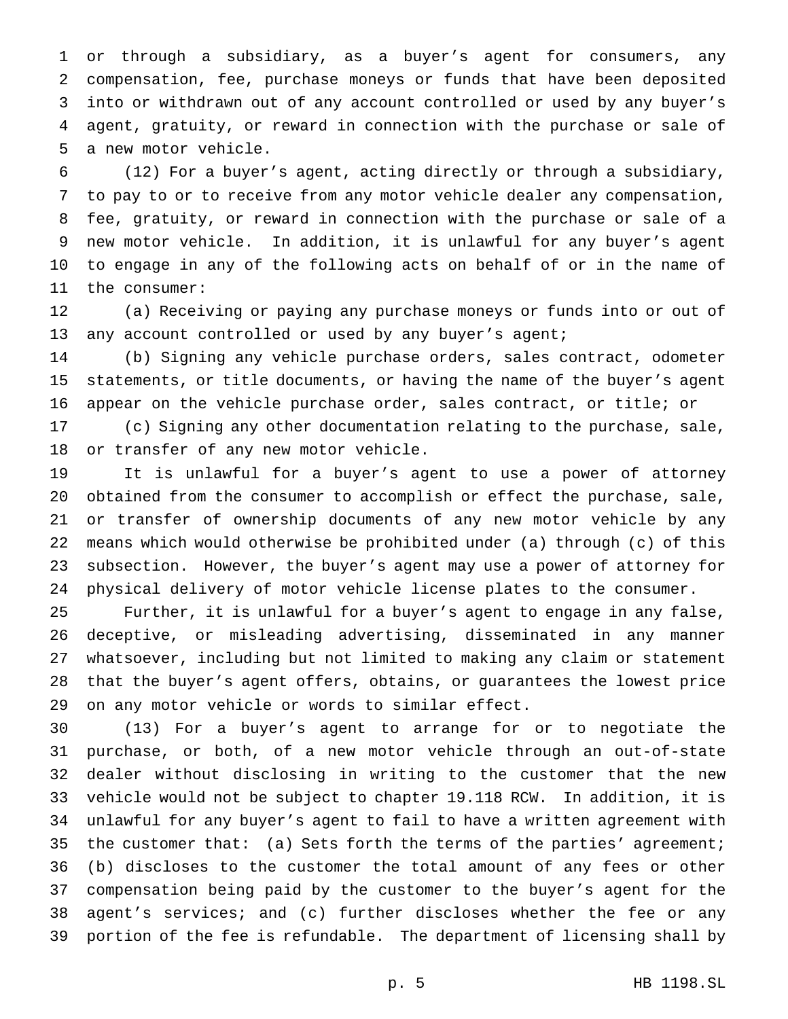or through a subsidiary, as a buyer's agent for consumers, any compensation, fee, purchase moneys or funds that have been deposited into or withdrawn out of any account controlled or used by any buyer's agent, gratuity, or reward in connection with the purchase or sale of a new motor vehicle.

 (12) For a buyer's agent, acting directly or through a subsidiary, to pay to or to receive from any motor vehicle dealer any compensation, fee, gratuity, or reward in connection with the purchase or sale of a new motor vehicle. In addition, it is unlawful for any buyer's agent to engage in any of the following acts on behalf of or in the name of the consumer:

 (a) Receiving or paying any purchase moneys or funds into or out of 13 any account controlled or used by any buyer's agent;

 (b) Signing any vehicle purchase orders, sales contract, odometer statements, or title documents, or having the name of the buyer's agent appear on the vehicle purchase order, sales contract, or title; or

 (c) Signing any other documentation relating to the purchase, sale, or transfer of any new motor vehicle.

 It is unlawful for a buyer's agent to use a power of attorney obtained from the consumer to accomplish or effect the purchase, sale, or transfer of ownership documents of any new motor vehicle by any means which would otherwise be prohibited under (a) through (c) of this subsection. However, the buyer's agent may use a power of attorney for physical delivery of motor vehicle license plates to the consumer.

 Further, it is unlawful for a buyer's agent to engage in any false, deceptive, or misleading advertising, disseminated in any manner whatsoever, including but not limited to making any claim or statement that the buyer's agent offers, obtains, or guarantees the lowest price on any motor vehicle or words to similar effect.

 (13) For a buyer's agent to arrange for or to negotiate the purchase, or both, of a new motor vehicle through an out-of-state dealer without disclosing in writing to the customer that the new vehicle would not be subject to chapter 19.118 RCW. In addition, it is unlawful for any buyer's agent to fail to have a written agreement with 35 the customer that: (a) Sets forth the terms of the parties' agreement; (b) discloses to the customer the total amount of any fees or other compensation being paid by the customer to the buyer's agent for the agent's services; and (c) further discloses whether the fee or any portion of the fee is refundable. The department of licensing shall by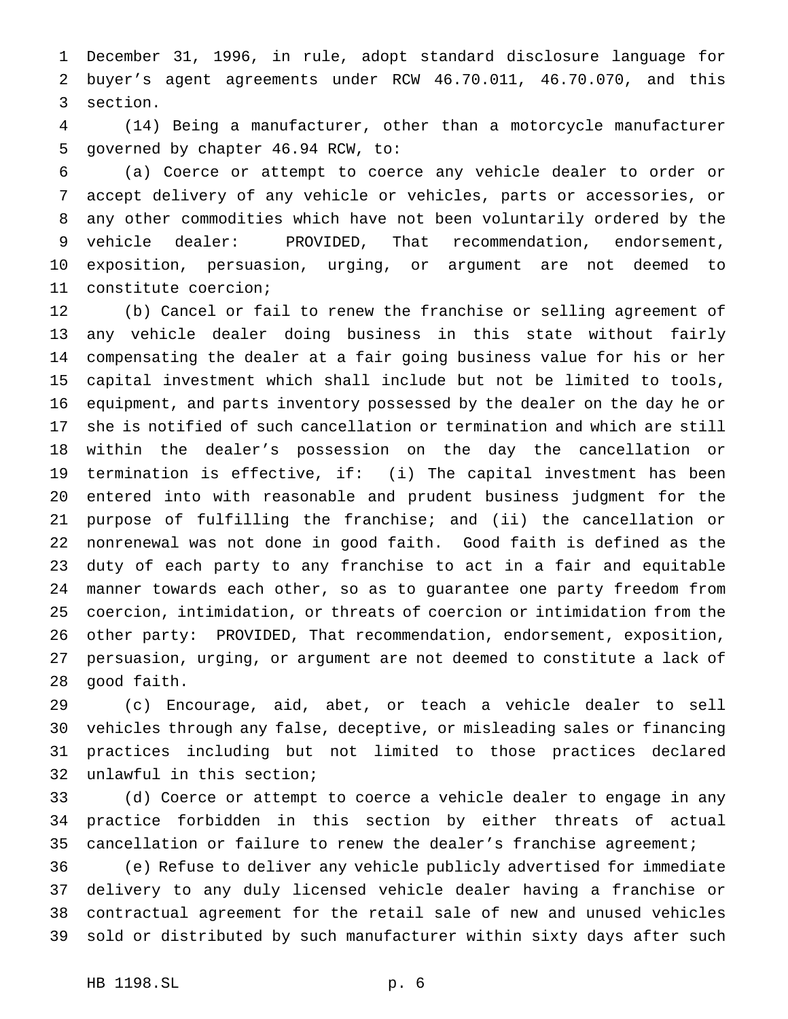December 31, 1996, in rule, adopt standard disclosure language for buyer's agent agreements under RCW 46.70.011, 46.70.070, and this section.

 (14) Being a manufacturer, other than a motorcycle manufacturer governed by chapter 46.94 RCW, to:

 (a) Coerce or attempt to coerce any vehicle dealer to order or accept delivery of any vehicle or vehicles, parts or accessories, or any other commodities which have not been voluntarily ordered by the vehicle dealer: PROVIDED, That recommendation, endorsement, exposition, persuasion, urging, or argument are not deemed to constitute coercion;

 (b) Cancel or fail to renew the franchise or selling agreement of any vehicle dealer doing business in this state without fairly compensating the dealer at a fair going business value for his or her capital investment which shall include but not be limited to tools, equipment, and parts inventory possessed by the dealer on the day he or she is notified of such cancellation or termination and which are still within the dealer's possession on the day the cancellation or termination is effective, if: (i) The capital investment has been entered into with reasonable and prudent business judgment for the purpose of fulfilling the franchise; and (ii) the cancellation or nonrenewal was not done in good faith. Good faith is defined as the duty of each party to any franchise to act in a fair and equitable manner towards each other, so as to guarantee one party freedom from coercion, intimidation, or threats of coercion or intimidation from the other party: PROVIDED, That recommendation, endorsement, exposition, persuasion, urging, or argument are not deemed to constitute a lack of good faith.

 (c) Encourage, aid, abet, or teach a vehicle dealer to sell vehicles through any false, deceptive, or misleading sales or financing practices including but not limited to those practices declared unlawful in this section;

 (d) Coerce or attempt to coerce a vehicle dealer to engage in any practice forbidden in this section by either threats of actual cancellation or failure to renew the dealer's franchise agreement;

 (e) Refuse to deliver any vehicle publicly advertised for immediate delivery to any duly licensed vehicle dealer having a franchise or contractual agreement for the retail sale of new and unused vehicles sold or distributed by such manufacturer within sixty days after such